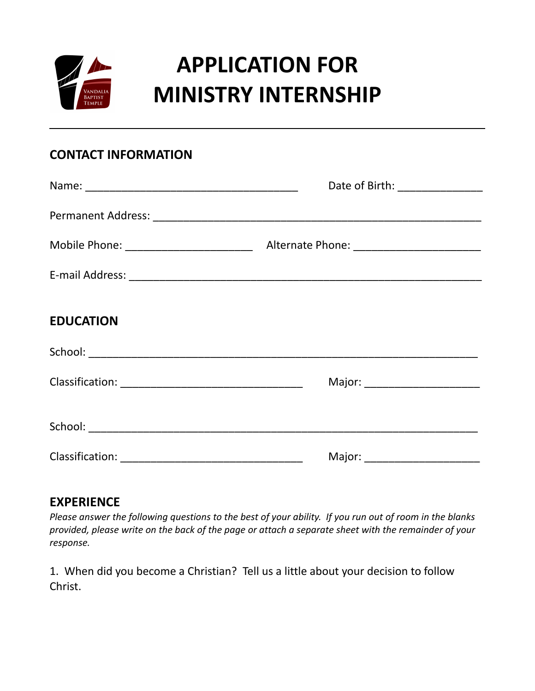

## **APPLICATION FOR MINISTRY INTERNSHIP**

## **CONTACT INFORMATION**

|                  | Date of Birth: _______________  |
|------------------|---------------------------------|
|                  |                                 |
|                  |                                 |
|                  |                                 |
| <b>EDUCATION</b> |                                 |
|                  |                                 |
|                  | Major: ________________________ |
|                  |                                 |
|                  |                                 |

## **EXPERIENCE**

*Please answer the following questions to the best of your ability. If you run out of room in the blanks provided, please write on the back of the page or attach a separate sheet with the remainder of your response.*

1. When did you become a Christian? Tell us a little about your decision to follow Christ.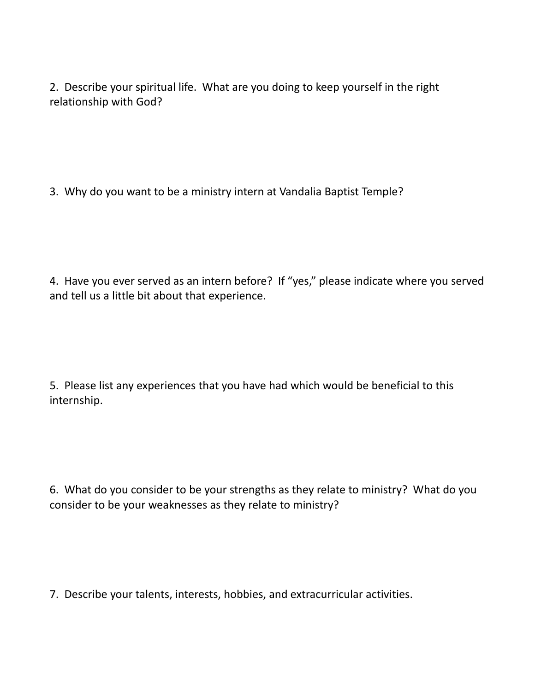2. Describe your spiritual life. What are you doing to keep yourself in the right relationship with God?

3. Why do you want to be a ministry intern at Vandalia Baptist Temple?

4. Have you ever served as an intern before? If "yes," please indicate where you served and tell us a little bit about that experience.

5. Please list any experiences that you have had which would be beneficial to this internship.

6. What do you consider to be your strengths as they relate to ministry? What do you consider to be your weaknesses as they relate to ministry?

7. Describe your talents, interests, hobbies, and extracurricular activities.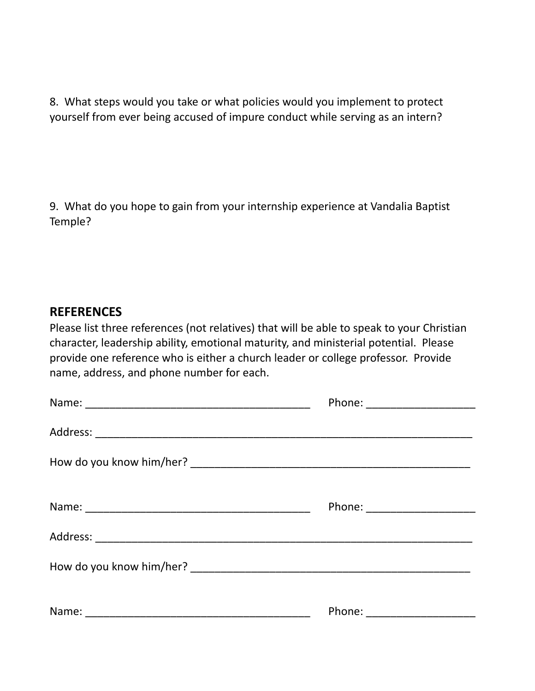8. What steps would you take or what policies would you implement to protect yourself from ever being accused of impure conduct while serving as an intern?

9. What do you hope to gain from your internship experience at Vandalia Baptist Temple?

## **REFERENCES**

Please list three references (not relatives) that will be able to speak to your Christian character, leadership ability, emotional maturity, and ministerial potential. Please provide one reference who is either a church leader or college professor. Provide name, address, and phone number for each.

| Phone: _______________________ |
|--------------------------------|
|                                |
|                                |
|                                |
|                                |
|                                |
|                                |
|                                |
|                                |
|                                |
|                                |